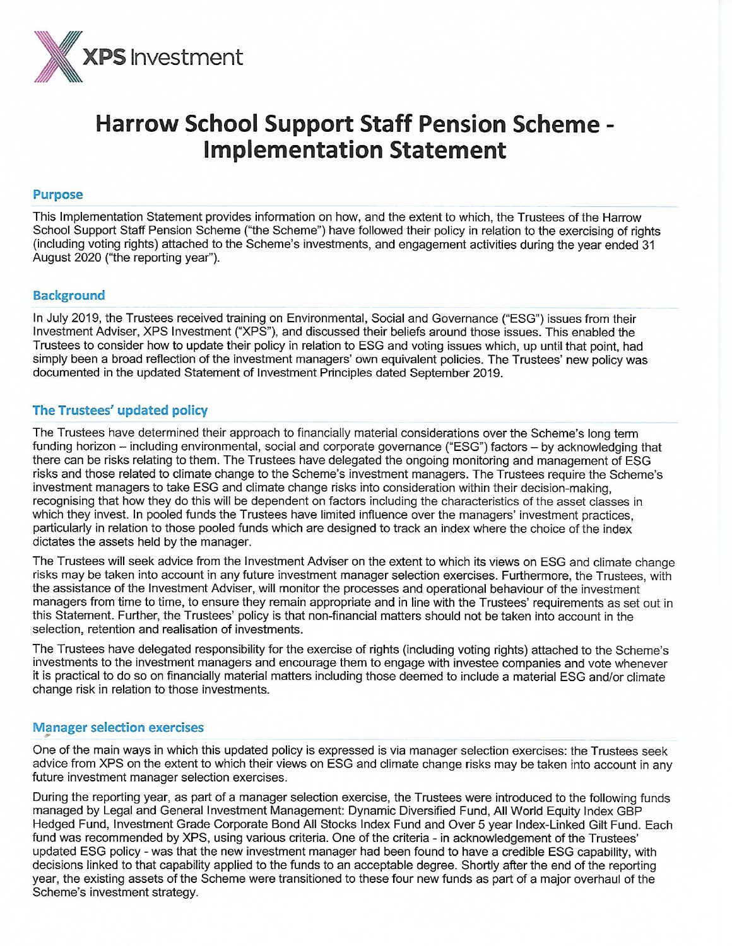

# **Harrow School Support Staff Pension Scheme -Implementation Statement**

#### **Purpose**

This Implementation Statement provides information on how, and the extent to which, the Trustees of the Harrow School Support Staff Pension Scheme ("the Scheme") have followed their policy in relation to the exercising of rights (including voting rights) attached to the Scheme's investments, and engagement activities during the year ended 31 August 2020 ("the reporting year").

# **Background**

In July 2019, the Trustees received training on Environmental, Social and Governance ("ESG") issues from their Investment Adviser, XPS Investment ("XPS"), and discussed their beliefs around those issues. This enabled the Trustees to consider how to update their policy in relation to ESG and voting issues which, up until that point, had simply been a broad reflection of the investment managers' own equivalent policies. The Trustees' new policy was documented in the updated Statement of Investment Principles dated September 2019.

# The Trustees' updated policy

The Trustees have determined their approach to financially material considerations over the Scheme's long term funding horizon - including environmental, social and corporate governance ("ESG") factors - by acknowledging that there can be risks relating to them. The Trustees have delegated the ongoing monitoring and management of ESG risks and those related to climate change to the Scheme's investment managers. The Trustees require the Scheme's investment managers to take ESG and climate change risks into consideration within their decision-making, recognising that how they do this will be dependent on factors including the characteristics of the asset classes in which they invest. In pooled funds the Trustees have limited influence over the managers' investment practices, particularly in relation to those pooled funds which are designed to track an index where the choice of the index dictates the assets held by the manager.

The Trustees will seek advice from the Investment Adviser on the extent to which its views on ESG and climate change risks may be taken into account in any future investment manager selection exercises. Furthermore, the Trustees, with the assistance of the Investment Adviser, will monitor the processes and operational behaviour of the investment managers from time to time, to ensure they remain appropriate and in line with the Trustees' requirements as set out in this Statement. Further, the Trustees' policy is that non-financial matters should not be taken into account in the selection, retention and realisation of investments.

The Trustees have delegated responsibility for the exercise of rights (including voting rights) attached to the Scheme's investments to the investment managers and encourage them to engage with investee companies and vote whenever it is practical to do so on financially material matters including those deemed to include a material ESG and/or climate change risk in relation to those investments.

#### **Manager selection exercises**

One of the main ways in which this updated policy is expressed is via manager selection exercises: the Trustees seek advice from XPS on the extent to which their views on ESG and climate change risks may be taken into account in any future investment manager selection exercises.

During the reporting year, as part of a manager selection exercise, the Trustees were introduced to the following funds managed by Legal and General Investment Management: Dynamic Diversified Fund, All World Equity Index GBP Hedged Fund, Investment Grade Corporate Bond All Stocks Index Fund and Over 5 year Index-Linked Gilt Fund. Each fund was recommended by XPS, using various criteria. One of the criteria - in acknowledgement of the Trustees' updated ESG policy - was that the new investment manager had been found to have a credible ESG capability, with decisions linked to that capability applied to the funds to an acceptable degree. Shortly after the end of the reporting year, the existing assets of the Scheme were transitioned to these four new funds as part of a major overhaul of the Scheme's investment strategy.